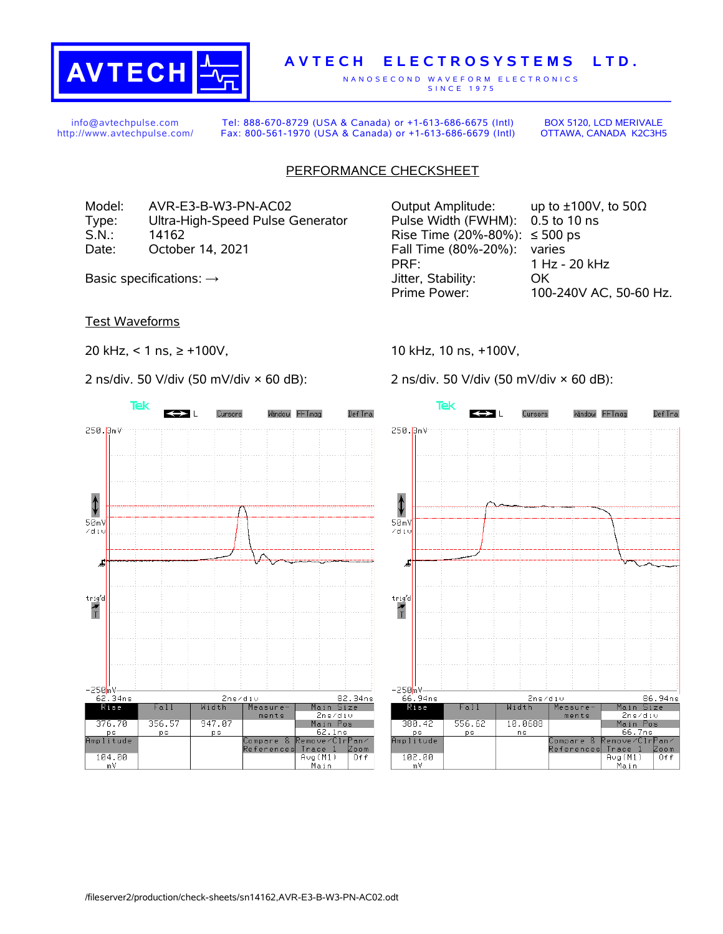

## **A V T E C H E L E C T R O S Y S T E M S L T D .**

N A N O S E C O N D W A V E F O R M E L E C T R O N I C S S IN C E 1975

info@avtechpulse.com http://www.avtechpulse.com/

Tel: 888-670-8729 (USA & Canada) or +1-613-686-6675 (Intl) Fax: 800-561-1970 (USA & Canada) or +1-613-686-6679 (Intl)

BOX 5120, LCD MERIVALE OTTAWA, CANADA K2C3H5

## PERFORMANCE CHECKSHEET

Model: AVR-E3-B-W3-PN-AC02 Output Amplitude: up to ±100V, to 50Ω Type: Ultra-High-Speed Pulse Generator Pulse Width (FWHM): 0.5 to 10 ns S.N.: 14162 Rise Time (20%-80%): ≤ 500 ps Date: October 14, 2021 Fall Time (80%-20%): varies

Test Waveforms

20 kHz, < 1 ns, ≥ +100V,

2 ns/div. 50 V/div (50 mV/div × 60 dB):



PRF: 1 Hz - 20 kHz Basic specifications:  $\rightarrow$  Stability: OK Prime Power: 100-240V AC, 50-60 Hz.

10 kHz, 10 ns, +100V,

2 ns/div. 50 V/div (50 mV/div × 60 dB):

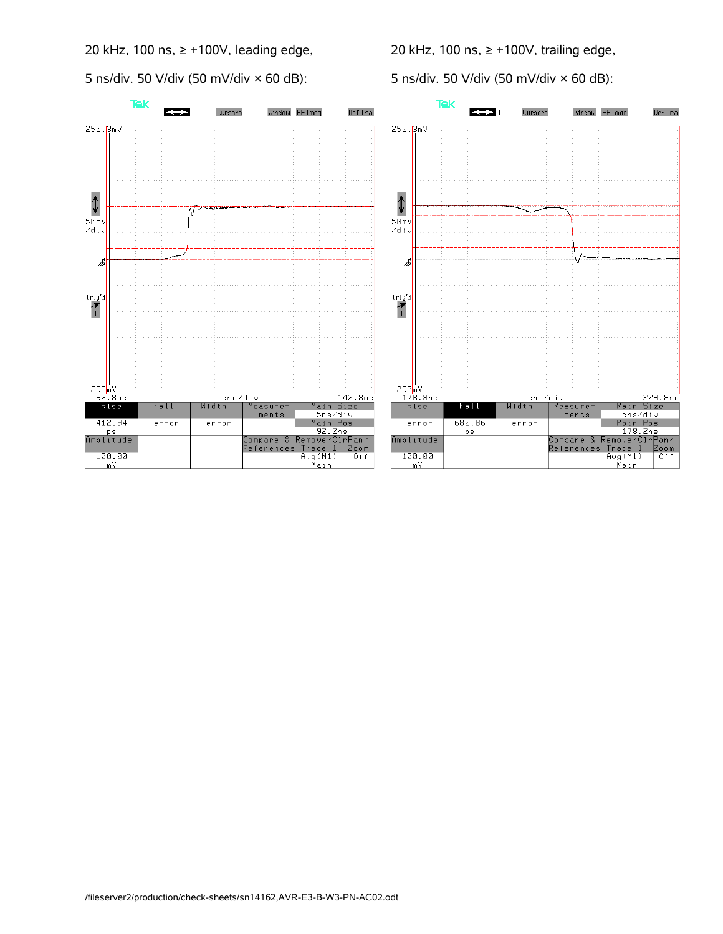20 kHz, 100 ns, ≥ +100V, leading edge,

5 ns/div. 50 V/div (50 mV/div × 60 dB):

20 kHz, 100 ns, ≥ +100V, trailing edge,

5 ns/div. 50 V/div (50 mV/div × 60 dB):